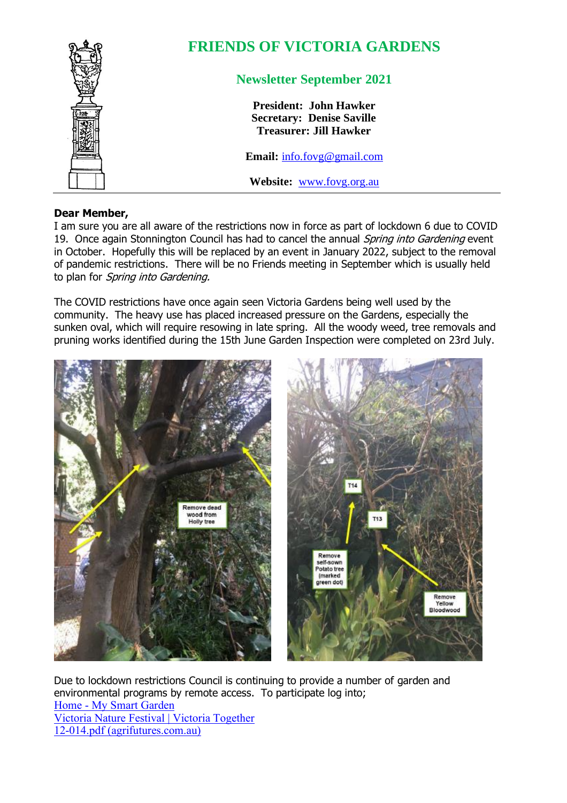

## **FRIENDS OF VICTORIA GARDENS**

## **Newsletter September 2021**

**President: John Hawker Secretary: Denise Saville Treasurer: Jill Hawker**

**Email:** [info.fovg@gmail.com](mailto:info.fovg@gmail.com)

**Website:** [www.fovg.org.au](http://www.fovg.org.au/)

## **Dear Member,**

I am sure you are all aware of the restrictions now in force as part of lockdown 6 due to COVID 19. Once again Stonnington Council has had to cancel the annual Spring into Gardening event in October. Hopefully this will be replaced by an event in January 2022, subject to the removal of pandemic restrictions. There will be no Friends meeting in September which is usually held to plan for Spring into Gardening.

The COVID restrictions have once again seen Victoria Gardens being well used by the community. The heavy use has placed increased pressure on the Gardens, especially the sunken oval, which will require resowing in late spring. All the woody weed, tree removals and pruning works identified during the 15th June Garden Inspection were completed on 23rd July.



Due to lockdown restrictions Council is continuing to provide a number of garden and environmental programs by remote access. To participate log into; Home - [My Smart Garden](https://mysmartgarden.org.au/) [Victoria Nature Festival | Victoria Together](https://www.together.vic.gov.au/victoria-nature-festival) [12-014.pdf \(agrifutures.com.au\)](https://www.agrifutures.com.au/wp-content/uploads/publications/12-014.pdf)